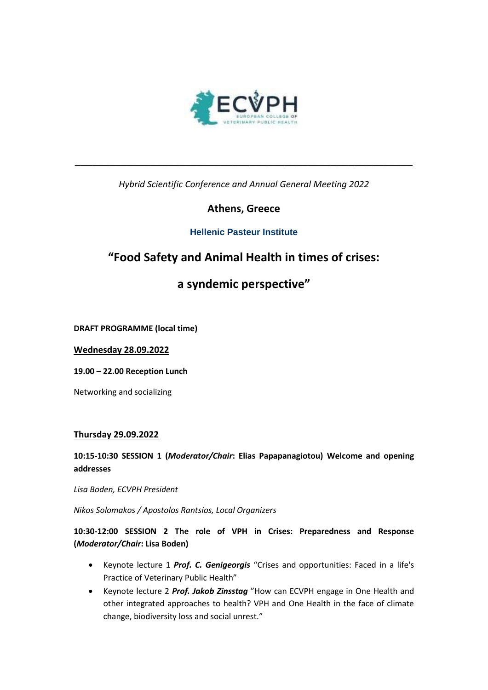

*Hybrid Scientific Conference and Annual General Meeting 2022*

**\_\_\_\_\_\_\_\_\_\_\_\_\_\_\_\_\_\_\_\_\_\_\_\_\_\_\_\_\_\_\_\_\_\_\_\_\_\_\_\_\_\_\_\_\_\_\_\_\_\_\_\_\_\_\_\_\_\_**

## **Athens, Greece**

## **Hellenic Pasteur Institute**

# **"Food Safety and Animal Health in times of crises:**

# **a syndemic perspective"**

**DRAFT PROGRAMME (local time)**

**Wednesday 28.09.2022**

**19.00 – 22.00 Reception Lunch** 

Networking and socializing

### **Thursday 29.09.2022**

## **10:15-10:30 SESSION 1 (***Moderator/Chair***: Elias Papapanagiotou) Welcome and opening addresses**

*Lisa Boden, ECVPH President*

*Nikos Solomakos / Apostolos Rantsios, Local Organizers*

**10:30-12:00 SESSION 2 The role of VPH in Crises: Preparedness and Response (***Moderator/Chair***: Lisa Boden)** 

- Keynote lecture 1 *Prof. C. Genigeorgis* "Crises and opportunities: Faced in a life's Practice of Veterinary Public Health"
- Keynote lecture 2 *Prof. Jakob Zinsstag* "How can ECVPH engage in One Health and other integrated approaches to health? VPH and One Health in the face of climate change, biodiversity loss and social unrest."